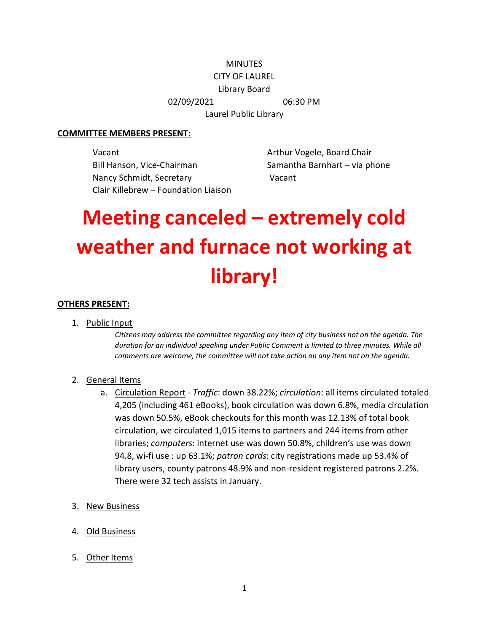## **MINUTES**

### CITY OF LAUREL

Library Board

02/09/2021 06:30 PM

Laurel Public Library

#### **COMMITTEE MEMBERS PRESENT:**

Vacant **Arthur Vogele, Board Chair** Bill Hanson, Vice-Chairman Samantha Barnhart – via phone Nancy Schmidt, Secretary Vacant Clair Killebrew – Foundation Liaison

# **Meeting canceled – extremely cold weather and furnace not working at library!**

### **OTHERS PRESENT:**

1. Public Input

*Citizens may address the committee regarding any item of city business not on the agenda. The duration for an individual speaking under Public Comment is limited to three minutes. While all comments are welcome, the committee will not take action on any item not on the agenda.*

### 2. General Items

- a. Circulation Report *Traffic*: down 38.22%; *circulation*: all items circulated totaled 4,205 (including 461 eBooks), book circulation was down 6.8%, media circulation was down 50.5%, eBook checkouts for this month was 12.13% of total book circulation, we circulated 1,015 items to partners and 244 items from other libraries; *computers*: internet use was down 50.8%, children's use was down 94.8, wi-fi use : up 63.1%; *patron cards*: city registrations made up 53.4% of library users, county patrons 48.9% and non-resident registered patrons 2.2%. There were 32 tech assists in January.
- 3. New Business
- 4. Old Business
- 5. Other Items